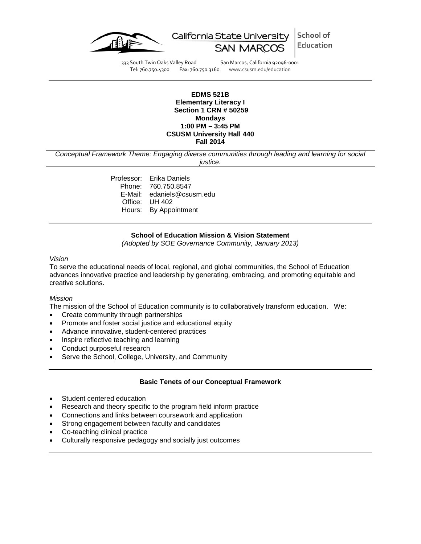

School of California State University Education

333 South Twin Oaks Valley Road San Marcos, California 92096-0001 Tel: 760.750.4300 Fax: 760.750.3160 www.csusm.edu/education

#### **EDMS 521B Elementary Literacy I Section 1 CRN # 50259 Mondays 1:00 PM – 3:45 PM CSUSM University Hall 440 Fall 2014**

*Conceptual Framework Theme: Engaging diverse communities through leading and learning for social justice.*

> Professor: Erika Daniels Phone: 760.750.8547 E-Mail: edaniels@csusm.edu Office: UH 402 Hours: By Appointment

### **School of Education Mission & Vision Statement**

*(Adopted by SOE Governance Community, January 2013)*

#### *Vision*

To serve the educational needs of local, regional, and global communities, the School of Education advances innovative practice and leadership by generating, embracing, and promoting equitable and creative solutions.

#### *Mission*

The mission of the School of Education community is to collaboratively transform education. We:

- Create community through partnerships
- Promote and foster social justice and educational equity
- Advance innovative, student-centered practices
- Inspire reflective teaching and learning
- Conduct purposeful research
- Serve the School, College, University, and Community

#### **Basic Tenets of our Conceptual Framework**

- Student centered education
- Research and theory specific to the program field inform practice
- Connections and links between coursework and application
- Strong engagement between faculty and candidates
- Co-teaching clinical practice
- Culturally responsive pedagogy and socially just outcomes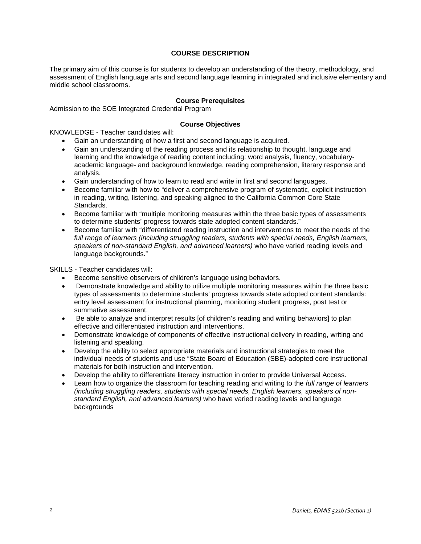## **COURSE DESCRIPTION**

The primary aim of this course is for students to develop an understanding of the theory, methodology, and assessment of English language arts and second language learning in integrated and inclusive elementary and middle school classrooms.

### **Course Prerequisites**

Admission to the SOE Integrated Credential Program

### **Course Objectives**

KNOWLEDGE - Teacher candidates will:

- Gain an understanding of how a first and second language is acquired.
- Gain an understanding of the reading process and its relationship to thought, language and learning and the knowledge of reading content including: word analysis, fluency, vocabularyacademic language- and background knowledge, reading comprehension, literary response and analysis.
- Gain understanding of how to learn to read and write in first and second languages.
- Become familiar with how to "deliver a comprehensive program of systematic, explicit instruction in reading, writing, listening, and speaking aligned to the California Common Core State Standards.
- Become familiar with "multiple monitoring measures within the three basic types of assessments to determine students' progress towards state adopted content standards."
- Become familiar with "differentiated reading instruction and interventions to meet the needs of the *full range of learners (including struggling readers, students with special needs, English learners, speakers of non-standard English, and advanced learners)* who have varied reading levels and language backgrounds."

SKILLS - Teacher candidates will:

- Become sensitive observers of children's language using behaviors.
- Demonstrate knowledge and ability to utilize multiple monitoring measures within the three basic types of assessments to determine students' progress towards state adopted content standards: entry level assessment for instructional planning, monitoring student progress, post test or summative assessment.
- Be able to analyze and interpret results [of children's reading and writing behaviors] to plan effective and differentiated instruction and interventions.
- Demonstrate knowledge of components of effective instructional delivery in reading, writing and listening and speaking.
- Develop the ability to select appropriate materials and instructional strategies to meet the individual needs of students and use "State Board of Education (SBE)-adopted core instructional materials for both instruction and intervention.
- Develop the ability to differentiate literacy instruction in order to provide Universal Access.
- Learn how to organize the classroom for teaching reading and writing to the *full range of learners (including struggling readers, students with special needs, English learners, speakers of nonstandard English, and advanced learners)* who have varied reading levels and language backgrounds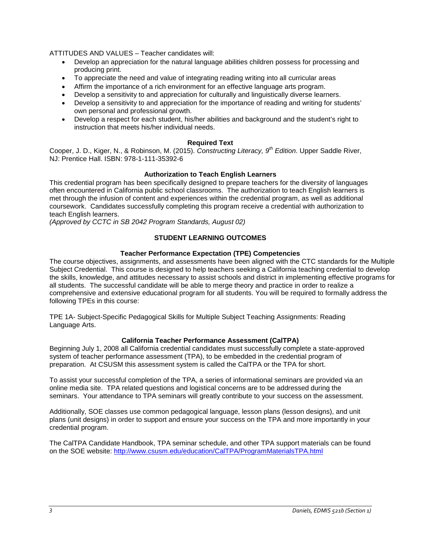ATTITUDES AND VALUES – Teacher candidates will:

- Develop an appreciation for the natural language abilities children possess for processing and producing print.
- To appreciate the need and value of integrating reading writing into all curricular areas
- Affirm the importance of a rich environment for an effective language arts program.
- Develop a sensitivity to and appreciation for culturally and linguistically diverse learners.
- Develop a sensitivity to and appreciation for the importance of reading and writing for students' own personal and professional growth.
- Develop a respect for each student, his/her abilities and background and the student's right to instruction that meets his/her individual needs.

## **Required Text**

Cooper, J. D., Kiger, N., & Robinson, M. (2015). *Constructing Literacy, 9th Edition*. Upper Saddle River, NJ: Prentice Hall. ISBN: 978-1-111-35392-6

## **Authorization to Teach English Learners**

This credential program has been specifically designed to prepare teachers for the diversity of languages often encountered in California public school classrooms. The authorization to teach English learners is met through the infusion of content and experiences within the credential program, as well as additional coursework. Candidates successfully completing this program receive a credential with authorization to teach English learners.

*(Approved by CCTC in SB 2042 Program Standards, August 02)*

# **STUDENT LEARNING OUTCOMES**

## **Teacher Performance Expectation (TPE) Competencies**

The course objectives, assignments, and assessments have been aligned with the CTC standards for the Multiple Subject Credential. This course is designed to help teachers seeking a California teaching credential to develop the skills, knowledge, and attitudes necessary to assist schools and district in implementing effective programs for all students. The successful candidate will be able to merge theory and practice in order to realize a comprehensive and extensive educational program for all students. You will be required to formally address the following TPEs in this course:

TPE 1A- Subject-Specific Pedagogical Skills for Multiple Subject Teaching Assignments: Reading Language Arts.

## **California Teacher Performance Assessment (CalTPA)**

Beginning July 1, 2008 all California credential candidates must successfully complete a state-approved system of teacher performance assessment (TPA), to be embedded in the credential program of preparation. At CSUSM this assessment system is called the CalTPA or the TPA for short.

To assist your successful completion of the TPA, a series of informational seminars are provided via an online media site. TPA related questions and logistical concerns are to be addressed during the seminars. Your attendance to TPA seminars will greatly contribute to your success on the assessment.

Additionally, SOE classes use common pedagogical language, lesson plans (lesson designs), and unit plans (unit designs) in order to support and ensure your success on the TPA and more importantly in your credential program.

The CalTPA Candidate Handbook, TPA seminar schedule, and other TPA support materials can be found on the SOE website:<http://www.csusm.edu/education/CalTPA/ProgramMaterialsTPA.html>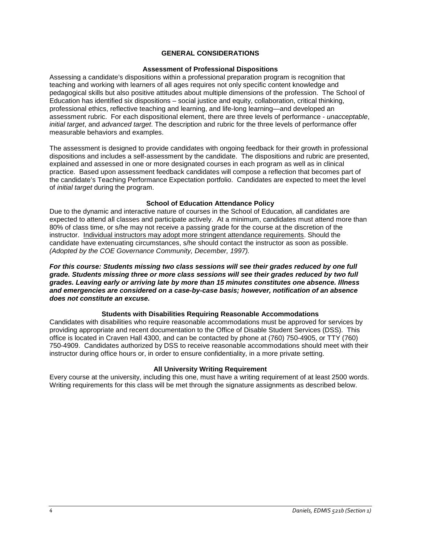### **GENERAL CONSIDERATIONS**

#### **Assessment of Professional Dispositions**

Assessing a candidate's dispositions within a professional preparation program is recognition that teaching and working with learners of all ages requires not only specific content knowledge and pedagogical skills but also positive attitudes about multiple dimensions of the profession. The School of Education has identified six dispositions – social justice and equity, collaboration, critical thinking, professional ethics, reflective teaching and learning, and life-long learning—and developed an assessment rubric. For each dispositional element, there are three levels of performance - *unacceptable*, *initial target*, and *advanced target*. The description and rubric for the three levels of performance offer measurable behaviors and examples.

The assessment is designed to provide candidates with ongoing feedback for their growth in professional dispositions and includes a self-assessment by the candidate. The dispositions and rubric are presented, explained and assessed in one or more designated courses in each program as well as in clinical practice. Based upon assessment feedback candidates will compose a reflection that becomes part of the candidate's Teaching Performance Expectation portfolio. Candidates are expected to meet the level of *initial target* during the program.

### **School of Education Attendance Policy**

Due to the dynamic and interactive nature of courses in the School of Education, all candidates are expected to attend all classes and participate actively. At a minimum, candidates must attend more than 80% of class time, or s/he may not receive a passing grade for the course at the discretion of the instructor. Individual instructors may adopt more stringent attendance requirements. Should the candidate have extenuating circumstances, s/he should contact the instructor as soon as possible. *(Adopted by the COE Governance Community, December, 1997).*

*For this course: Students missing two class sessions will see their grades reduced by one full grade. Students missing three or more class sessions will see their grades reduced by two full grades. Leaving early or arriving late by more than 15 minutes constitutes one absence. Illness and emergencies are considered on a case-by-case basis; however, notification of an absence does not constitute an excuse.* 

#### **Students with Disabilities Requiring Reasonable Accommodations**

Candidates with disabilities who require reasonable accommodations must be approved for services by providing appropriate and recent documentation to the Office of Disable Student Services (DSS). This office is located in Craven Hall 4300, and can be contacted by phone at (760) 750-4905, or TTY (760) 750-4909. Candidates authorized by DSS to receive reasonable accommodations should meet with their instructor during office hours or, in order to ensure confidentiality, in a more private setting.

#### **All University Writing Requirement**

Every course at the university, including this one, must have a writing requirement of at least 2500 words. Writing requirements for this class will be met through the signature assignments as described below.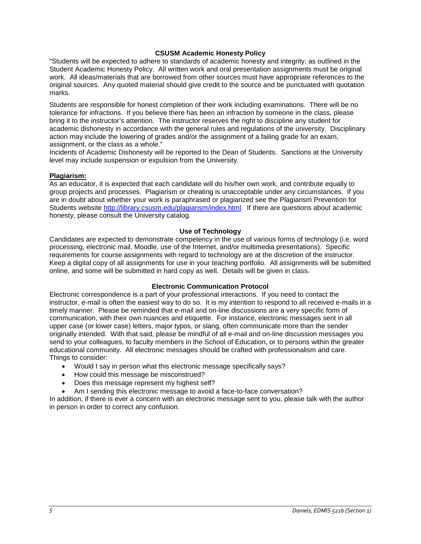### **CSUSM Academic Honesty Policy**

"Students will be expected to adhere to standards of academic honesty and integrity, as outlined in the Student Academic Honesty Policy. All written work and oral presentation assignments must be original work. All ideas/materials that are borrowed from other sources must have appropriate references to the original sources. Any quoted material should give credit to the source and be punctuated with quotation marks.

Students are responsible for honest completion of their work including examinations. There will be no tolerance for infractions. If you believe there has been an infraction by someone in the class, please bring it to the instructor's attention. The instructor reserves the right to discipline any student for academic dishonesty in accordance with the general rules and regulations of the university. Disciplinary action may include the lowering of grades and/or the assignment of a failing grade for an exam, assignment, or the class as a whole."

Incidents of Academic Dishonesty will be reported to the Dean of Students. Sanctions at the University level may include suspension or expulsion from the University.

#### **Plagiarism:**

As an educator, it is expected that each candidate will do his/her own work, and contribute equally to group projects and processes. Plagiarism or cheating is unacceptable under any circumstances. If you are in doubt about whether your work is paraphrased or plagiarized see the Plagiarism Prevention for Students website [http://library.csusm.edu/plagiarism/index.html.](http://library.csusm.edu/plagiarism/index.html) If there are questions about academic honesty, please consult the University catalog.

### **Use of Technology**

Candidates are expected to demonstrate competency in the use of various forms of technology (i.e. word processing, electronic mail, Moodle, use of the Internet, and/or multimedia presentations). Specific requirements for course assignments with regard to technology are at the discretion of the instructor. Keep a digital copy of all assignments for use in your teaching portfolio. All assignments will be submitted online, and some will be submitted in hard copy as well. Details will be given in class.

#### **Electronic Communication Protocol**

Electronic correspondence is a part of your professional interactions. If you need to contact the instructor, e-mail is often the easiest way to do so. It is my intention to respond to all received e-mails in a timely manner. Please be reminded that e-mail and on-line discussions are a very specific form of communication, with their own nuances and etiquette. For instance, electronic messages sent in all upper case (or lower case) letters, major typos, or slang, often communicate more than the sender originally intended. With that said, please be mindful of all e-mail and on-line discussion messages you send to your colleagues, to faculty members in the School of Education, or to persons within the greater educational community. All electronic messages should be crafted with professionalism and care. Things to consider:

- Would I say in person what this electronic message specifically says?
- How could this message be misconstrued?
- Does this message represent my highest self?
- Am I sending this electronic message to avoid a face-to-face conversation?

In addition, if there is ever a concern with an electronic message sent to you, please talk with the author in person in order to correct any confusion.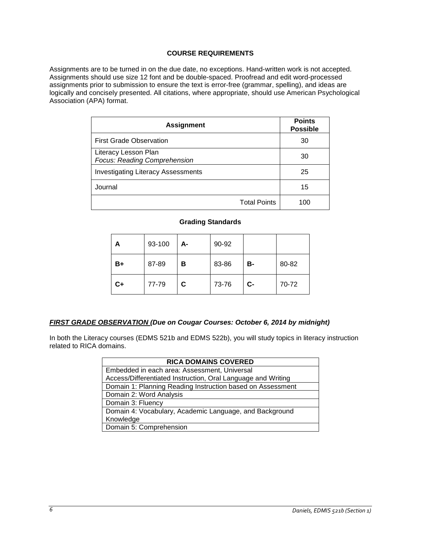## **COURSE REQUIREMENTS**

Assignments are to be turned in on the due date, no exceptions. Hand-written work is not accepted. Assignments should use size 12 font and be double-spaced. Proofread and edit word-processed assignments prior to submission to ensure the text is error-free (grammar, spelling), and ideas are logically and concisely presented. All citations, where appropriate, should use American Psychological Association (APA) format.

| <b>Assignment</b>                                    | <b>Points</b><br><b>Possible</b> |
|------------------------------------------------------|----------------------------------|
| <b>First Grade Observation</b>                       | 30                               |
| Literacy Lesson Plan<br>Focus: Reading Comprehension | 30                               |
| <b>Investigating Literacy Assessments</b>            | 25                               |
| Journal                                              | 15                               |
| <b>Total Points</b>                                  | 100                              |

## **Grading Standards**

| А    | 93-100 | А- | 90-92 |       |       |
|------|--------|----|-------|-------|-------|
| B+   | 87-89  | в  | 83-86 | в-    | 80-82 |
| $C+$ | 77-79  | C  | 73-76 | $C -$ | 70-72 |

## *FIRST GRADE OBSERVATION (Due on Cougar Courses: October 6, 2014 by midnight)*

In both the Literacy courses (EDMS 521b and EDMS 522b), you will study topics in literacy instruction related to RICA domains.

| <b>RICA DOMAINS COVERED</b>                                  |  |  |  |
|--------------------------------------------------------------|--|--|--|
| Embedded in each area: Assessment, Universal                 |  |  |  |
| Access/Differentiated Instruction, Oral Language and Writing |  |  |  |
| Domain 1: Planning Reading Instruction based on Assessment   |  |  |  |
| Domain 2: Word Analysis                                      |  |  |  |
| Domain 3: Fluency                                            |  |  |  |
| Domain 4: Vocabulary, Academic Language, and Background      |  |  |  |
| Knowledge                                                    |  |  |  |
| Domain 5: Comprehension                                      |  |  |  |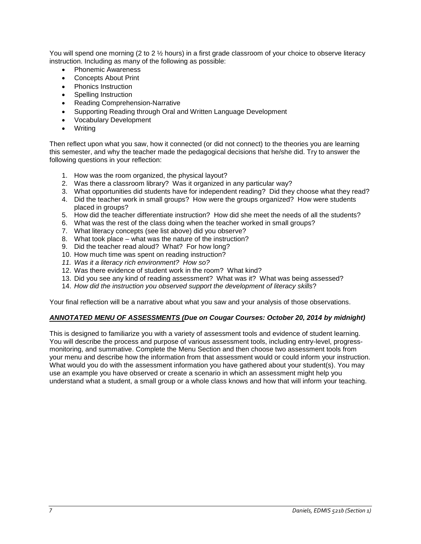You will spend one morning (2 to 2  $\frac{1}{2}$  hours) in a first grade classroom of your choice to observe literacy instruction. Including as many of the following as possible:

- Phonemic Awareness
- Concepts About Print
- Phonics Instruction
- Spelling Instruction
- Reading Comprehension-Narrative
- Supporting Reading through Oral and Written Language Development
- Vocabulary Development
- **Writing**

Then reflect upon what you saw, how it connected (or did not connect) to the theories you are learning this semester, and why the teacher made the pedagogical decisions that he/she did. Try to answer the following questions in your reflection:

- 1. How was the room organized, the physical layout?
- 2. Was there a classroom library? Was it organized in any particular way?
- 3. What opportunities did students have for independent reading? Did they choose what they read?
- 4. Did the teacher work in small groups? How were the groups organized? How were students placed in groups?
- 5. How did the teacher differentiate instruction? How did she meet the needs of all the students?
- 6. What was the rest of the class doing when the teacher worked in small groups?
- 7. What literacy concepts (see list above) did you observe?
- 8. What took place what was the nature of the instruction?
- 9. Did the teacher read aloud? What? For how long?
- 10. How much time was spent on reading instruction?
- *11. Was it a literacy rich environment? How so?*
- 12. Was there evidence of student work in the room? What kind?
- 13. Did you see any kind of reading assessment? What was it? What was being assessed?
- 14. *How did the instruction you observed support the development of literacy skills*?

Your final reflection will be a narrative about what you saw and your analysis of those observations.

#### *ANNOTATED MENU OF ASSESSMENTS (Due on Cougar Courses: October 20, 2014 by midnight)*

This is designed to familiarize you with a variety of assessment tools and evidence of student learning. You will describe the process and purpose of various assessment tools, including entry-level, progressmonitoring, and summative. Complete the Menu Section and then choose two assessment tools from your menu and describe how the information from that assessment would or could inform your instruction. What would you do with the assessment information you have gathered about your student(s). You may use an example you have observed or create a scenario in which an assessment might help you understand what a student, a small group or a whole class knows and how that will inform your teaching.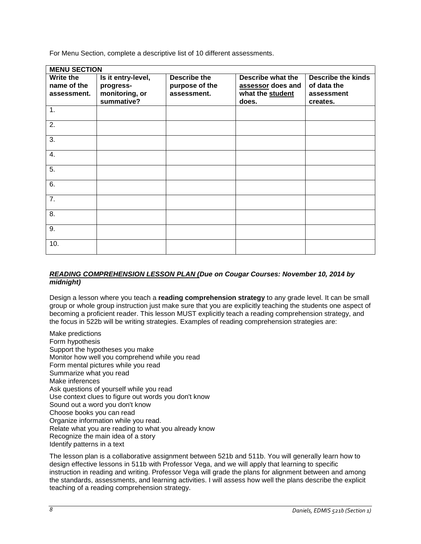For Menu Section, complete a descriptive list of 10 different assessments.

| <b>MENU SECTION</b>                     |                                                                 |                                                      |                                                                     |                                                                    |
|-----------------------------------------|-----------------------------------------------------------------|------------------------------------------------------|---------------------------------------------------------------------|--------------------------------------------------------------------|
| Write the<br>name of the<br>assessment. | Is it entry-level,<br>progress-<br>monitoring, or<br>summative? | <b>Describe the</b><br>purpose of the<br>assessment. | Describe what the<br>assessor does and<br>what the student<br>does. | <b>Describe the kinds</b><br>of data the<br>assessment<br>creates. |
| 1.                                      |                                                                 |                                                      |                                                                     |                                                                    |
| 2.                                      |                                                                 |                                                      |                                                                     |                                                                    |
| 3.                                      |                                                                 |                                                      |                                                                     |                                                                    |
| 4.                                      |                                                                 |                                                      |                                                                     |                                                                    |
| 5.                                      |                                                                 |                                                      |                                                                     |                                                                    |
| 6.                                      |                                                                 |                                                      |                                                                     |                                                                    |
| 7.                                      |                                                                 |                                                      |                                                                     |                                                                    |
| 8.                                      |                                                                 |                                                      |                                                                     |                                                                    |
| 9.                                      |                                                                 |                                                      |                                                                     |                                                                    |
| 10.                                     |                                                                 |                                                      |                                                                     |                                                                    |

## *READING COMPREHENSION LESSON PLAN (Due on Cougar Courses: November 10, 2014 by midnight)*

Design a lesson where you teach a **reading comprehension strategy** to any grade level. It can be small group or whole group instruction just make sure that you are explicitly teaching the students one aspect of becoming a proficient reader. This lesson MUST explicitly teach a reading comprehension strategy, and the focus in 522b will be writing strategies. Examples of reading comprehension strategies are:

Make predictions Form hypothesis Support the hypotheses you make Monitor how well you comprehend while you read Form mental pictures while you read Summarize what you read Make inferences Ask questions of yourself while you read Use context clues to figure out words you don't know Sound out a word you don't know Choose books you can read Organize information while you read. Relate what you are reading to what you already know Recognize the main idea of a story Identify patterns in a text

The lesson plan is a collaborative assignment between 521b and 511b. You will generally learn how to design effective lessons in 511b with Professor Vega, and we will apply that learning to specific instruction in reading and writing. Professor Vega will grade the plans for alignment between and among the standards, assessments, and learning activities. I will assess how well the plans describe the explicit teaching of a reading comprehension strategy.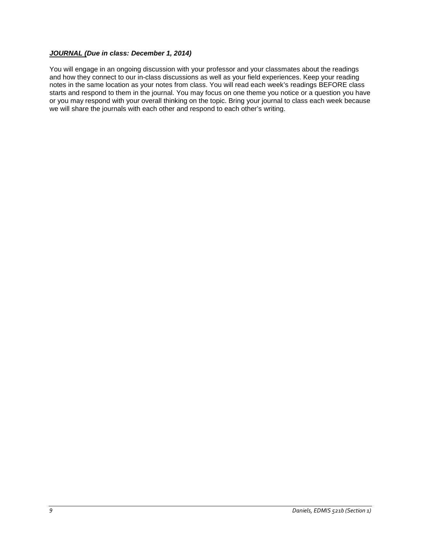## *JOURNAL (Due in class: December 1, 2014)*

You will engage in an ongoing discussion with your professor and your classmates about the readings and how they connect to our in-class discussions as well as your field experiences. Keep your reading notes in the same location as your notes from class. You will read each week's readings BEFORE class starts and respond to them in the journal. You may focus on one theme you notice or a question you have or you may respond with your overall thinking on the topic. Bring your journal to class each week because we will share the journals with each other and respond to each other's writing.